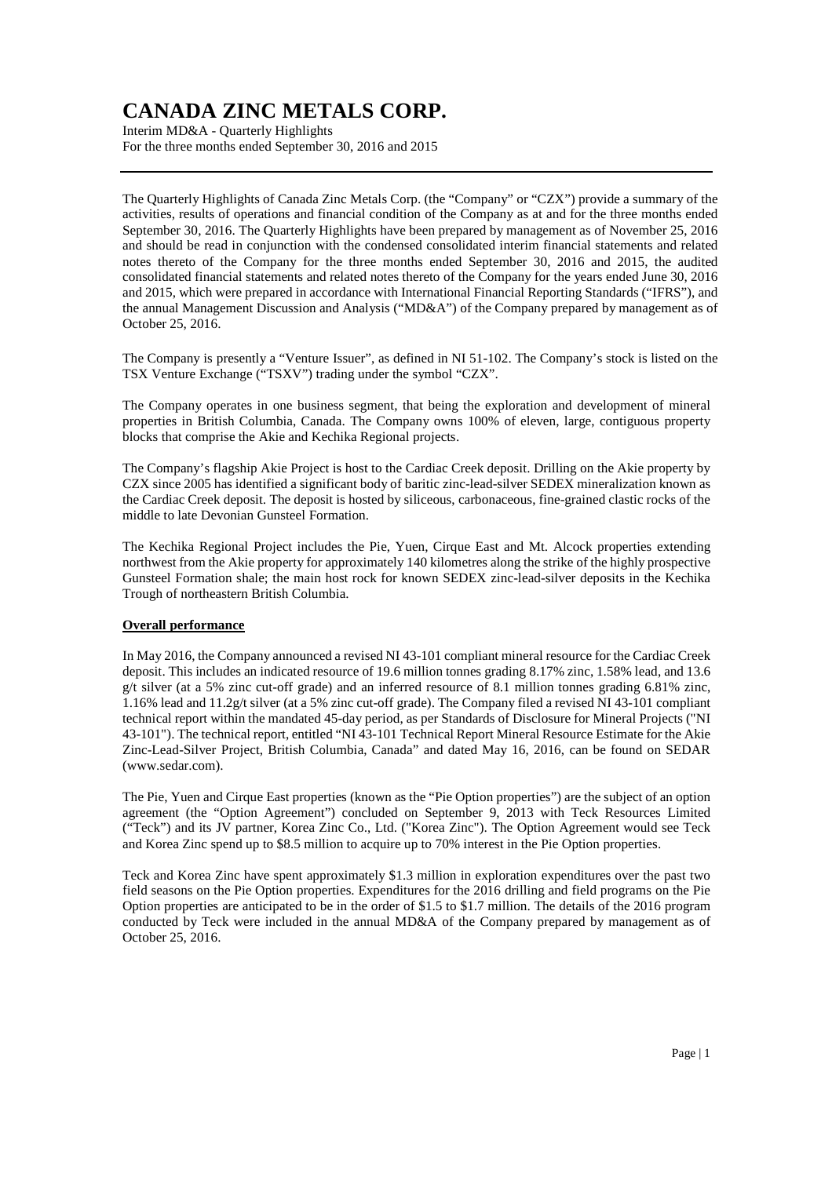Interim MD&A - Quarterly Highlights For the three months ended September 30, 2016 and 2015

The Quarterly Highlights of Canada Zinc Metals Corp. (the "Company" or "CZX") provide a summary of the activities, results of operations and financial condition of the Company as at and for the three months ended September 30, 2016. The Quarterly Highlights have been prepared by management as of November 25, 2016 and should be read in conjunction with the condensed consolidated interim financial statements and related notes thereto of the Company for the three months ended September 30, 2016 and 2015, the audited consolidated financial statements and related notes thereto of the Company for the years ended June 30, 2016 and 2015, which were prepared in accordance with International Financial Reporting Standards ("IFRS"), and the annual Management Discussion and Analysis ("MD&A") of the Company prepared by management as of October 25, 2016.

The Company is presently a "Venture Issuer", as defined in NI 51-102. The Company's stock is listed on the TSX Venture Exchange ("TSXV") trading under the symbol "CZX".

The Company operates in one business segment, that being the exploration and development of mineral properties in British Columbia, Canada. The Company owns 100% of eleven, large, contiguous property blocks that comprise the Akie and Kechika Regional projects.

The Company's flagship Akie Project is host to the Cardiac Creek deposit. Drilling on the Akie property by CZX since 2005 has identified a significant body of baritic zinc-lead-silver SEDEX mineralization known as the Cardiac Creek deposit. The deposit is hosted by siliceous, carbonaceous, fine-grained clastic rocks of the middle to late Devonian Gunsteel Formation.

The Kechika Regional Project includes the Pie, Yuen, Cirque East and Mt. Alcock properties extending northwest from the Akie property for approximately 140 kilometres along the strike of the highly prospective Gunsteel Formation shale; the main host rock for known SEDEX zinc-lead-silver deposits in the Kechika Trough of northeastern British Columbia.

### **Overall performance**

In May 2016, the Company announced a revised NI 43-101 compliant mineral resource for the Cardiac Creek deposit. This includes an indicated resource of 19.6 million tonnes grading 8.17% zinc, 1.58% lead, and 13.6 g/t silver (at a 5% zinc cut-off grade) and an inferred resource of 8.1 million tonnes grading 6.81% zinc, 1.16% lead and 11.2g/t silver (at a 5% zinc cut-off grade). The Company filed a revised NI 43-101 compliant technical report within the mandated 45-day period, as per Standards of Disclosure for Mineral Projects ("NI 43-101"). The technical report, entitled "NI 43-101 Technical Report Mineral Resource Estimate for the Akie Zinc-Lead-Silver Project, British Columbia, Canada" and dated May 16, 2016, can be found on SEDAR (www.sedar.com).

The Pie, Yuen and Cirque East properties (known as the "Pie Option properties") are the subject of an option agreement (the "Option Agreement") concluded on September 9, 2013 with Teck Resources Limited ("Teck") and its JV partner, Korea Zinc Co., Ltd. ("Korea Zinc"). The Option Agreement would see Teck and Korea Zinc spend up to \$8.5 million to acquire up to 70% interest in the Pie Option properties.

Teck and Korea Zinc have spent approximately \$1.3 million in exploration expenditures over the past two field seasons on the Pie Option properties. Expenditures for the 2016 drilling and field programs on the Pie Option properties are anticipated to be in the order of \$1.5 to \$1.7 million. The details of the 2016 program conducted by Teck were included in the annual MD&A of the Company prepared by management as of October 25, 2016.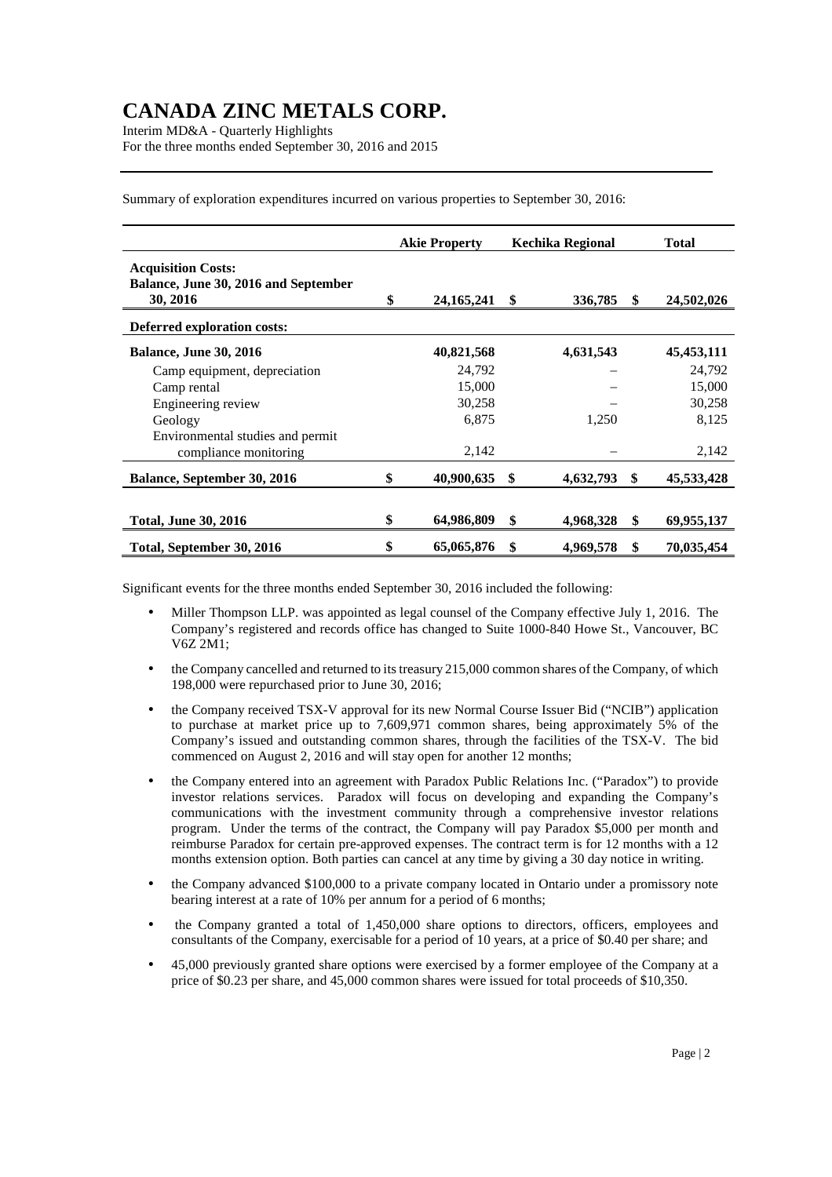Interim MD&A - Quarterly Highlights For the three months ended September 30, 2016 and 2015

Summary of exploration expenditures incurred on various properties to September 30, 2016:

|                                                                               | <b>Akie Property</b> |              | <b>Kechika Regional</b> |           | <b>Total</b> |              |
|-------------------------------------------------------------------------------|----------------------|--------------|-------------------------|-----------|--------------|--------------|
| <b>Acquisition Costs:</b><br>Balance, June 30, 2016 and September<br>30, 2016 | \$                   | 24, 165, 241 | \$                      | 336,785   | \$           | 24,502,026   |
| Deferred exploration costs:                                                   |                      |              |                         |           |              |              |
| <b>Balance, June 30, 2016</b>                                                 |                      | 40,821,568   |                         | 4,631,543 |              | 45, 453, 111 |
| Camp equipment, depreciation                                                  |                      | 24,792       |                         |           |              | 24,792       |
| Camp rental                                                                   |                      | 15,000       |                         |           |              | 15,000       |
| Engineering review                                                            |                      | 30,258       |                         |           |              | 30,258       |
| Geology                                                                       |                      | 6,875        |                         | 1,250     |              | 8,125        |
| Environmental studies and permit                                              |                      |              |                         |           |              |              |
| compliance monitoring                                                         |                      | 2,142        |                         |           |              | 2,142        |
| Balance, September 30, 2016                                                   | \$                   | 40,900,635   | \$                      | 4,632,793 | \$           | 45,533,428   |
|                                                                               |                      |              |                         |           |              |              |
| <b>Total, June 30, 2016</b>                                                   | \$                   | 64,986,809   | \$                      | 4,968,328 | \$           | 69,955,137   |
| Total, September 30, 2016                                                     | \$                   | 65,065,876   | \$                      | 4,969,578 | \$           | 70,035,454   |

Significant events for the three months ended September 30, 2016 included the following:

- Miller Thompson LLP. was appointed as legal counsel of the Company effective July 1, 2016. The Company's registered and records office has changed to Suite 1000-840 Howe St., Vancouver, BC V6Z 2M1;
- the Company cancelled and returned to its treasury 215,000 common shares of the Company, of which 198,000 were repurchased prior to June 30, 2016;
- the Company received TSX-V approval for its new Normal Course Issuer Bid ("NCIB") application to purchase at market price up to 7,609,971 common shares, being approximately 5% of the Company's issued and outstanding common shares, through the facilities of the TSX-V. The bid commenced on August 2, 2016 and will stay open for another 12 months;
- the Company entered into an agreement with Paradox Public Relations Inc. ("Paradox") to provide investor relations services. Paradox will focus on developing and expanding the Company's communications with the investment community through a comprehensive investor relations program. Under the terms of the contract, the Company will pay Paradox \$5,000 per month and reimburse Paradox for certain pre-approved expenses. The contract term is for 12 months with a 12 months extension option. Both parties can cancel at any time by giving a 30 day notice in writing.
- the Company advanced \$100,000 to a private company located in Ontario under a promissory note bearing interest at a rate of 10% per annum for a period of 6 months;
- the Company granted a total of 1,450,000 share options to directors, officers, employees and consultants of the Company, exercisable for a period of 10 years, at a price of \$0.40 per share; and
- 45,000 previously granted share options were exercised by a former employee of the Company at a price of \$0.23 per share, and 45,000 common shares were issued for total proceeds of \$10,350.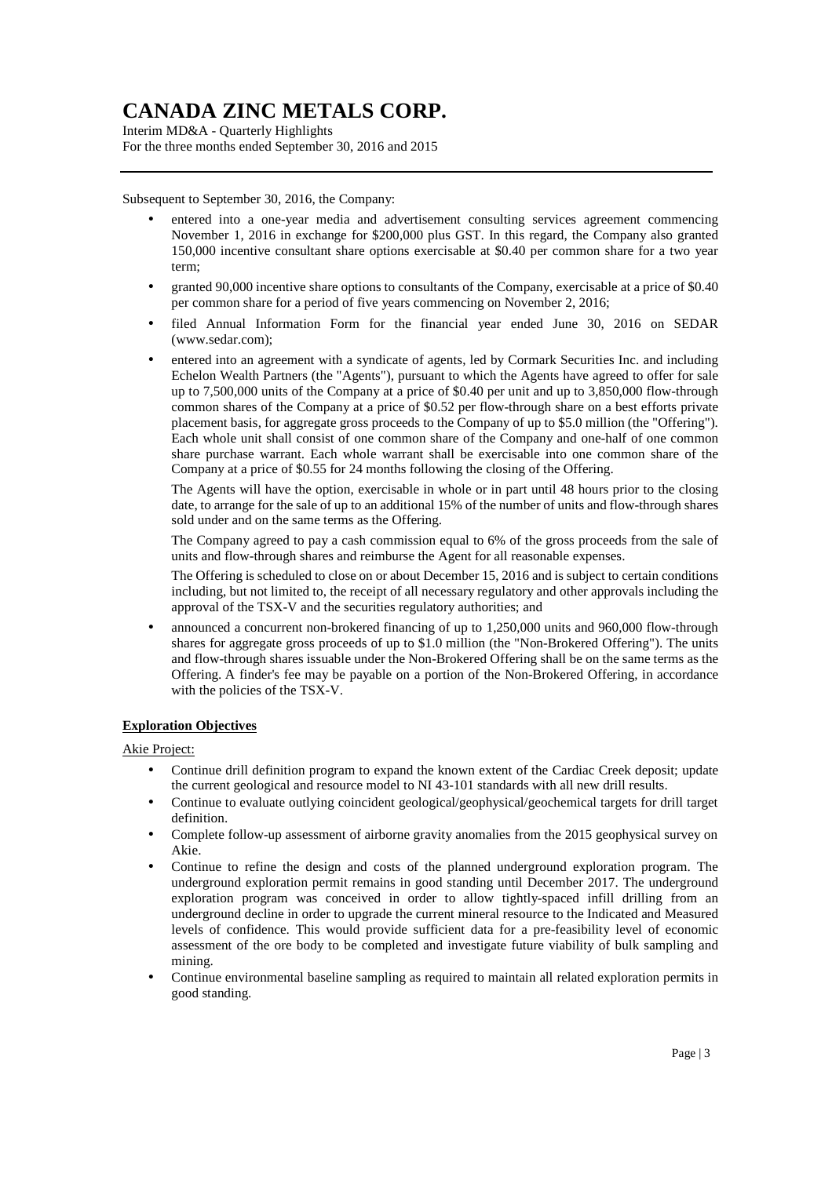Interim MD&A - Quarterly Highlights For the three months ended September 30, 2016 and 2015

Subsequent to September 30, 2016, the Company:

- entered into a one-year media and advertisement consulting services agreement commencing November 1, 2016 in exchange for \$200,000 plus GST. In this regard, the Company also granted 150,000 incentive consultant share options exercisable at \$0.40 per common share for a two year term;
- granted 90,000 incentive share options to consultants of the Company, exercisable at a price of \$0.40 per common share for a period of five years commencing on November 2, 2016;
- filed Annual Information Form for the financial year ended June 30, 2016 on SEDAR (www.sedar.com);
- entered into an agreement with a syndicate of agents, led by Cormark Securities Inc. and including Echelon Wealth Partners (the "Agents"), pursuant to which the Agents have agreed to offer for sale up to 7,500,000 units of the Company at a price of \$0.40 per unit and up to 3,850,000 flow-through common shares of the Company at a price of \$0.52 per flow-through share on a best efforts private placement basis, for aggregate gross proceeds to the Company of up to \$5.0 million (the "Offering"). Each whole unit shall consist of one common share of the Company and one-half of one common share purchase warrant. Each whole warrant shall be exercisable into one common share of the Company at a price of \$0.55 for 24 months following the closing of the Offering.

The Agents will have the option, exercisable in whole or in part until 48 hours prior to the closing date, to arrange for the sale of up to an additional 15% of the number of units and flow-through shares sold under and on the same terms as the Offering.

The Company agreed to pay a cash commission equal to 6% of the gross proceeds from the sale of units and flow-through shares and reimburse the Agent for all reasonable expenses.

The Offering is scheduled to close on or about December 15, 2016 and is subject to certain conditions including, but not limited to, the receipt of all necessary regulatory and other approvals including the approval of the TSX-V and the securities regulatory authorities; and

• announced a concurrent non-brokered financing of up to 1,250,000 units and 960,000 flow-through shares for aggregate gross proceeds of up to \$1.0 million (the "Non-Brokered Offering"). The units and flow-through shares issuable under the Non-Brokered Offering shall be on the same terms as the Offering. A finder's fee may be payable on a portion of the Non-Brokered Offering, in accordance with the policies of the TSX-V.

### **Exploration Objectives**

Akie Project:

- Continue drill definition program to expand the known extent of the Cardiac Creek deposit; update the current geological and resource model to NI 43-101 standards with all new drill results.
- Continue to evaluate outlying coincident geological/geophysical/geochemical targets for drill target definition.
- Complete follow-up assessment of airborne gravity anomalies from the 2015 geophysical survey on Akie.
- Continue to refine the design and costs of the planned underground exploration program. The underground exploration permit remains in good standing until December 2017. The underground exploration program was conceived in order to allow tightly-spaced infill drilling from an underground decline in order to upgrade the current mineral resource to the Indicated and Measured levels of confidence. This would provide sufficient data for a pre-feasibility level of economic assessment of the ore body to be completed and investigate future viability of bulk sampling and mining.
- Continue environmental baseline sampling as required to maintain all related exploration permits in good standing.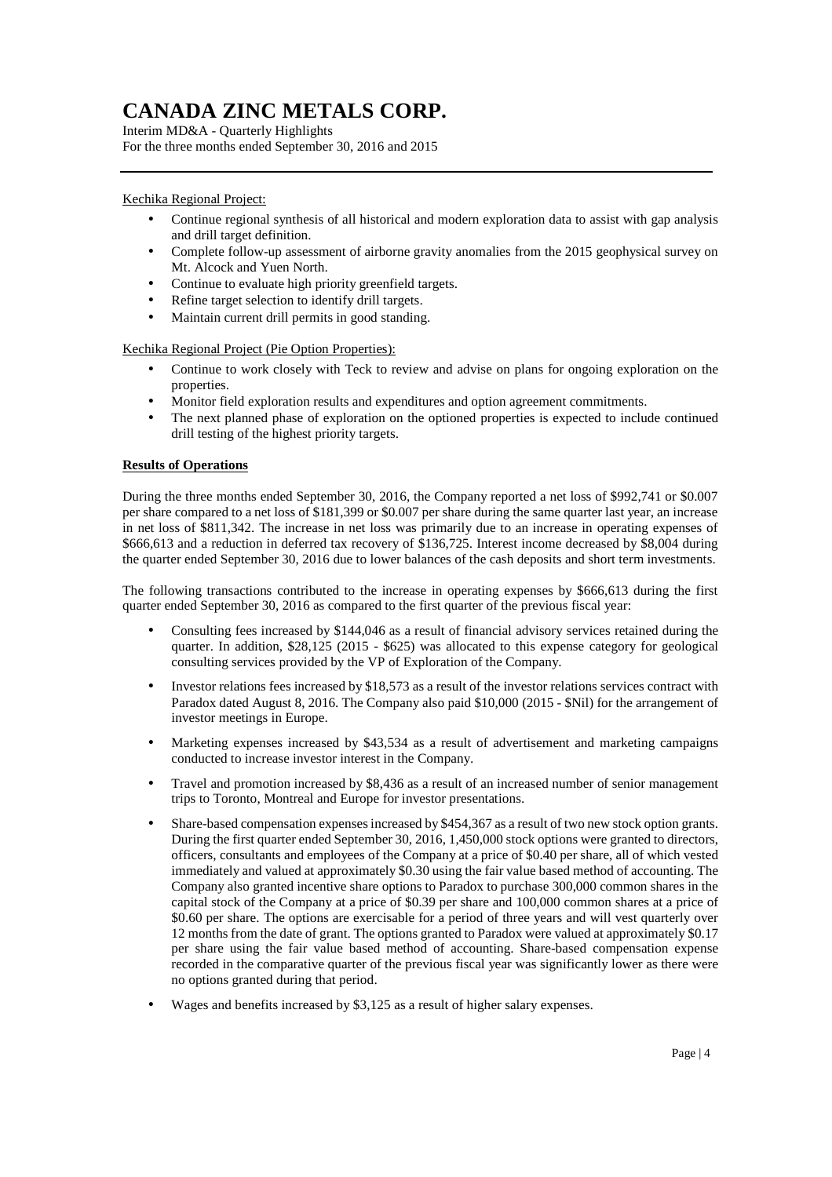Interim MD&A - Quarterly Highlights For the three months ended September 30, 2016 and 2015

### Kechika Regional Project:

- Continue regional synthesis of all historical and modern exploration data to assist with gap analysis and drill target definition.
- Complete follow-up assessment of airborne gravity anomalies from the 2015 geophysical survey on Mt. Alcock and Yuen North.
- Continue to evaluate high priority greenfield targets.
- Refine target selection to identify drill targets.
- Maintain current drill permits in good standing.

Kechika Regional Project (Pie Option Properties):

- Continue to work closely with Teck to review and advise on plans for ongoing exploration on the properties.
- Monitor field exploration results and expenditures and option agreement commitments.
- The next planned phase of exploration on the optioned properties is expected to include continued drill testing of the highest priority targets.

### **Results of Operations**

During the three months ended September 30, 2016, the Company reported a net loss of \$992,741 or \$0.007 per share compared to a net loss of \$181,399 or \$0.007 per share during the same quarter last year, an increase in net loss of \$811,342. The increase in net loss was primarily due to an increase in operating expenses of \$666,613 and a reduction in deferred tax recovery of \$136,725. Interest income decreased by \$8,004 during the quarter ended September 30, 2016 due to lower balances of the cash deposits and short term investments.

The following transactions contributed to the increase in operating expenses by \$666,613 during the first quarter ended September 30, 2016 as compared to the first quarter of the previous fiscal year:

- Consulting fees increased by \$144,046 as a result of financial advisory services retained during the quarter. In addition, \$28,125 (2015 - \$625) was allocated to this expense category for geological consulting services provided by the VP of Exploration of the Company.
- Investor relations fees increased by \$18,573 as a result of the investor relations services contract with Paradox dated August 8, 2016. The Company also paid \$10,000 (2015 - \$Nil) for the arrangement of investor meetings in Europe.
- Marketing expenses increased by \$43,534 as a result of advertisement and marketing campaigns conducted to increase investor interest in the Company.
- Travel and promotion increased by \$8,436 as a result of an increased number of senior management trips to Toronto, Montreal and Europe for investor presentations.
- Share-based compensation expenses increased by \$454,367 as a result of two new stock option grants. During the first quarter ended September 30, 2016, 1,450,000 stock options were granted to directors, officers, consultants and employees of the Company at a price of \$0.40 per share, all of which vested immediately and valued at approximately \$0.30 using the fair value based method of accounting. The Company also granted incentive share options to Paradox to purchase 300,000 common shares in the capital stock of the Company at a price of \$0.39 per share and 100,000 common shares at a price of \$0.60 per share. The options are exercisable for a period of three years and will vest quarterly over 12 months from the date of grant. The options granted to Paradox were valued at approximately \$0.17 per share using the fair value based method of accounting. Share-based compensation expense recorded in the comparative quarter of the previous fiscal year was significantly lower as there were no options granted during that period.
- Wages and benefits increased by \$3,125 as a result of higher salary expenses.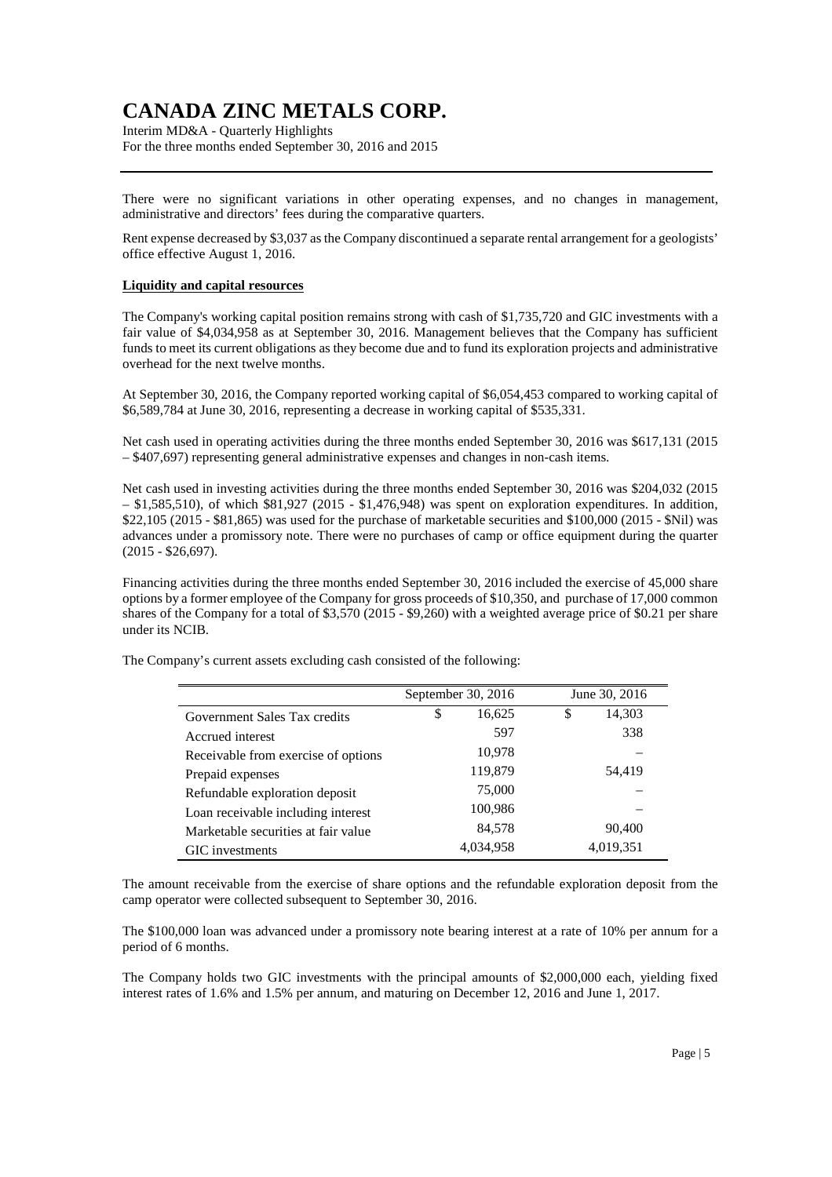Interim MD&A - Quarterly Highlights For the three months ended September 30, 2016 and 2015

There were no significant variations in other operating expenses, and no changes in management, administrative and directors' fees during the comparative quarters.

Rent expense decreased by \$3,037 as the Company discontinued a separate rental arrangement for a geologists' office effective August 1, 2016.

#### **Liquidity and capital resources**

The Company's working capital position remains strong with cash of \$1,735,720 and GIC investments with a fair value of \$4,034,958 as at September 30, 2016. Management believes that the Company has sufficient funds to meet its current obligations as they become due and to fund its exploration projects and administrative overhead for the next twelve months.

At September 30, 2016, the Company reported working capital of \$6,054,453 compared to working capital of \$6,589,784 at June 30, 2016, representing a decrease in working capital of \$535,331.

Net cash used in operating activities during the three months ended September 30, 2016 was \$617,131 (2015 – \$407,697) representing general administrative expenses and changes in non-cash items.

Net cash used in investing activities during the three months ended September 30, 2016 was \$204,032 (2015  $-$  \$1,585,510), of which  $$81,927$  (2015  $-$  \$1,476,948) was spent on exploration expenditures. In addition, \$22,105 (2015 - \$81,865) was used for the purchase of marketable securities and \$100,000 (2015 - \$Nil) was advances under a promissory note. There were no purchases of camp or office equipment during the quarter  $(2015 - $26,697)$ .

Financing activities during the three months ended September 30, 2016 included the exercise of 45,000 share options by a former employee of the Company for gross proceeds of \$10,350, and purchase of 17,000 common shares of the Company for a total of \$3,570 (2015 - \$9,260) with a weighted average price of \$0.21 per share under its NCIB.

|                                     | September 30, 2016 | June 30, 2016 |           |  |
|-------------------------------------|--------------------|---------------|-----------|--|
| Government Sales Tax credits        | \$<br>16,625       | \$            | 14,303    |  |
| Accrued interest                    | 597                |               | 338       |  |
| Receivable from exercise of options | 10,978             |               |           |  |
| Prepaid expenses                    | 119,879            |               | 54,419    |  |
| Refundable exploration deposit      | 75,000             |               |           |  |
| Loan receivable including interest  | 100,986            |               |           |  |
| Marketable securities at fair value | 84,578             |               | 90,400    |  |
| GIC investments                     | 4,034,958          |               | 4,019,351 |  |

The Company's current assets excluding cash consisted of the following:

The amount receivable from the exercise of share options and the refundable exploration deposit from the camp operator were collected subsequent to September 30, 2016.

The \$100,000 loan was advanced under a promissory note bearing interest at a rate of 10% per annum for a period of 6 months.

The Company holds two GIC investments with the principal amounts of \$2,000,000 each, yielding fixed interest rates of 1.6% and 1.5% per annum, and maturing on December 12, 2016 and June 1, 2017.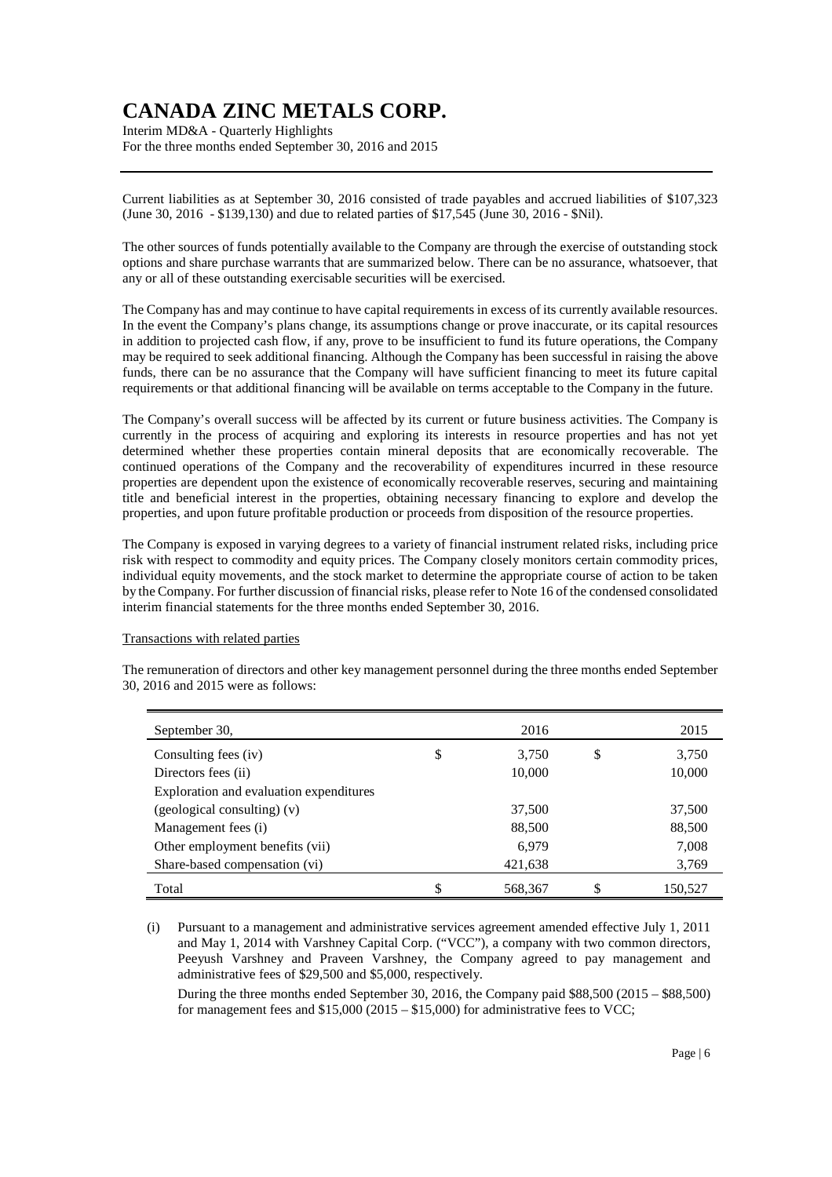Interim MD&A - Quarterly Highlights For the three months ended September 30, 2016 and 2015

Current liabilities as at September 30, 2016 consisted of trade payables and accrued liabilities of \$107,323 (June 30, 2016 - \$139,130) and due to related parties of \$17,545 (June 30, 2016 - \$Nil).

The other sources of funds potentially available to the Company are through the exercise of outstanding stock options and share purchase warrants that are summarized below. There can be no assurance, whatsoever, that any or all of these outstanding exercisable securities will be exercised.

The Company has and may continue to have capital requirements in excess of its currently available resources. In the event the Company's plans change, its assumptions change or prove inaccurate, or its capital resources in addition to projected cash flow, if any, prove to be insufficient to fund its future operations, the Company may be required to seek additional financing. Although the Company has been successful in raising the above funds, there can be no assurance that the Company will have sufficient financing to meet its future capital requirements or that additional financing will be available on terms acceptable to the Company in the future.

The Company's overall success will be affected by its current or future business activities. The Company is currently in the process of acquiring and exploring its interests in resource properties and has not yet determined whether these properties contain mineral deposits that are economically recoverable. The continued operations of the Company and the recoverability of expenditures incurred in these resource properties are dependent upon the existence of economically recoverable reserves, securing and maintaining title and beneficial interest in the properties, obtaining necessary financing to explore and develop the properties, and upon future profitable production or proceeds from disposition of the resource properties.

The Company is exposed in varying degrees to a variety of financial instrument related risks, including price risk with respect to commodity and equity prices. The Company closely monitors certain commodity prices, individual equity movements, and the stock market to determine the appropriate course of action to be taken by the Company. For further discussion of financial risks, please refer to Note 16 of the condensed consolidated interim financial statements for the three months ended September 30, 2016.

#### Transactions with related parties

| September 30,                           | 2016          | 2015          |
|-----------------------------------------|---------------|---------------|
| Consulting fees (iv)                    | \$<br>3,750   | \$<br>3,750   |
| Directors fees (ii)                     | 10,000        | 10,000        |
| Exploration and evaluation expenditures |               |               |
| $(geological$ consulting) $(v)$         | 37,500        | 37,500        |
| Management fees (i)                     | 88,500        | 88,500        |
| Other employment benefits (vii)         | 6,979         | 7,008         |
| Share-based compensation (vi)           | 421,638       | 3,769         |
| Total                                   | \$<br>568,367 | \$<br>150,527 |

The remuneration of directors and other key management personnel during the three months ended September 30, 2016 and 2015 were as follows:

(i) Pursuant to a management and administrative services agreement amended effective July 1, 2011 and May 1, 2014 with Varshney Capital Corp. ("VCC"), a company with two common directors, Peeyush Varshney and Praveen Varshney, the Company agreed to pay management and administrative fees of \$29,500 and \$5,000, respectively.

During the three months ended September 30, 2016, the Company paid \$88,500 (2015 – \$88,500) for management fees and  $$15,000(2015 - $15,000)$  for administrative fees to VCC;